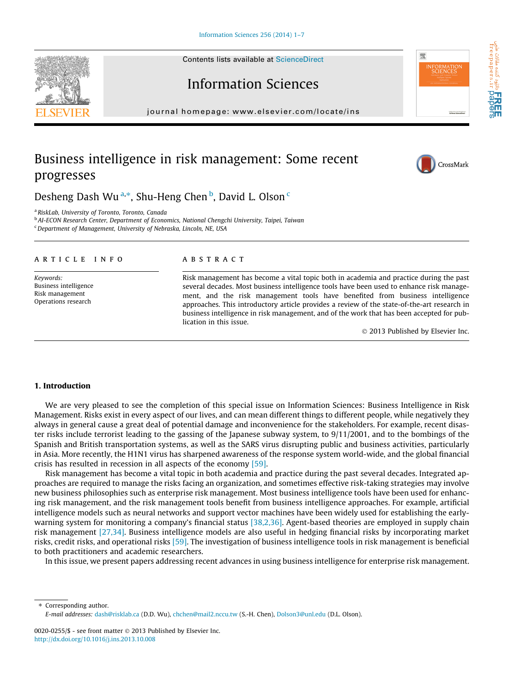Contents lists available at [ScienceDirect](http://www.sciencedirect.com/science/journal/00200255)

# Information Sciences

journal homepage: [www.elsevier.com/locate/ins](http://www.elsevier.com/locate/ins)

# Business intelligence in risk management: Some recent progresses

Desheng Dash Wu<sup>a,\*</sup>, Shu-Heng Chen <sup>b</sup>, David L. Olson <sup>c</sup>

<sup>a</sup> RiskLab, University of Toronto, Toronto, Canada

**b AI-ECON Research Center, Department of Economics, National Chengchi University, Taipei, Taiwan** 

 $c$  Department of Management, University of Nebraska, Lincoln, NE, USA

# article info

Keywords: Business intelligence Risk management Operations research

# A B S T R A C T

Risk management has become a vital topic both in academia and practice during the past several decades. Most business intelligence tools have been used to enhance risk management, and the risk management tools have benefited from business intelligence approaches. This introductory article provides a review of the state-of-the-art research in business intelligence in risk management, and of the work that has been accepted for publication in this issue.

- 2013 Published by Elsevier Inc.

# 1. Introduction

We are very pleased to see the completion of this special issue on Information Sciences: Business Intelligence in Risk Management. Risks exist in every aspect of our lives, and can mean different things to different people, while negatively they always in general cause a great deal of potential damage and inconvenience for the stakeholders. For example, recent disaster risks include terrorist leading to the gassing of the Japanese subway system, to 9/11/2001, and to the bombings of the Spanish and British transportation systems, as well as the SARS virus disrupting public and business activities, particularly in Asia. More recently, the H1N1 virus has sharpened awareness of the response system world-wide, and the global financial crisis has resulted in recession in all aspects of the economy [\[59\]](#page-5-0).

Risk management has become a vital topic in both academia and practice during the past several decades. Integrated approaches are required to manage the risks facing an organization, and sometimes effective risk-taking strategies may involve new business philosophies such as enterprise risk management. Most business intelligence tools have been used for enhancing risk management, and the risk management tools benefit from business intelligence approaches. For example, artificial intelligence models such as neural networks and support vector machines have been widely used for establishing the early-warning system for monitoring a company's financial status [\[38,2,36\]](#page-5-0). Agent-based theories are employed in supply chain risk management [\[27,34\]](#page-5-0). Business intelligence models are also useful in hedging financial risks by incorporating market risks, credit risks, and operational risks [\[59\]](#page-5-0). The investigation of business intelligence tools in risk management is beneficial to both practitioners and academic researchers.

In this issue, we present papers addressing recent advances in using business intelligence for enterprise risk management.

⇑ Corresponding author. E-mail addresses: [dash@risklab.ca](mailto:dash@risklab.ca) (D.D. Wu), [chchen@mail2.nccu.tw](mailto:chchen@mail2.nccu.tw) (S.-H. Chen), [Dolson3@unl.edu](mailto:Dolson3@unl.edu) (D.L. Olson).







<sup>0020-0255/\$ -</sup> see front matter © 2013 Published by Elsevier Inc. <http://dx.doi.org/10.1016/j.ins.2013.10.008>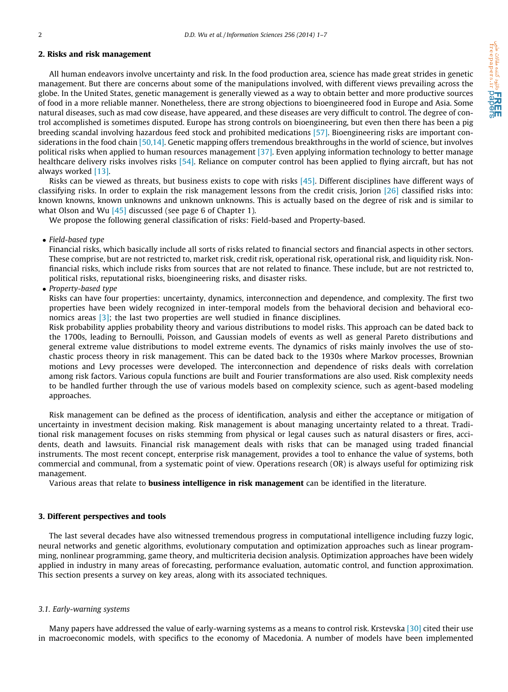# 2. Risks and risk management

All human endeavors involve uncertainty and risk. In the food production area, science has made great strides in genetic management. But there are concerns about some of the manipulations involved, with different views prevailing across the globe. In the United States, genetic management is generally viewed as a way to obtain better and more productive sources of food in a more reliable manner. Nonetheless, there are strong objections to bioengineered food in Europe and Asia. Some natural diseases, such as mad cow disease, have appeared, and these diseases are very difficult to control. The degree of control accomplished is sometimes disputed. Europe has strong controls on bioengineering, but even then there has been a pig breeding scandal involving hazardous feed stock and prohibited medications [\[57\]](#page-5-0). Bioengineering risks are important con-siderations in the food chain [\[50,14\]](#page-5-0). Genetic mapping offers tremendous breakthroughs in the world of science, but involves political risks when applied to human resources management [\[37\].](#page-5-0) Even applying information technology to better manage healthcare delivery risks involves risks [\[54\].](#page-5-0) Reliance on computer control has been applied to flying aircraft, but has not always worked [\[13\].](#page-4-0)

Risks can be viewed as threats, but business exists to cope with risks [\[45\].](#page-5-0) Different disciplines have different ways of classifying risks. In order to explain the risk management lessons from the credit crisis, Jorion [\[26\]](#page-5-0) classified risks into: known knowns, known unknowns and unknown unknowns. This is actually based on the degree of risk and is similar to what Olson and Wu [\[45\]](#page-5-0) discussed (see page 6 of Chapter 1).

We propose the following general classification of risks: Field-based and Property-based.

- Field-based type

Financial risks, which basically include all sorts of risks related to financial sectors and financial aspects in other sectors. These comprise, but are not restricted to, market risk, credit risk, operational risk, operational risk, and liquidity risk. Nonfinancial risks, which include risks from sources that are not related to finance. These include, but are not restricted to, political risks, reputational risks, bioengineering risks, and disaster risks.

- Property-based type

Risks can have four properties: uncertainty, dynamics, interconnection and dependence, and complexity. The first two properties have been widely recognized in inter-temporal models from the behavioral decision and behavioral economics areas [\[3\]](#page-4-0); the last two properties are well studied in finance disciplines.

Risk probability applies probability theory and various distributions to model risks. This approach can be dated back to the 1700s, leading to Bernoulli, Poisson, and Gaussian models of events as well as general Pareto distributions and general extreme value distributions to model extreme events. The dynamics of risks mainly involves the use of stochastic process theory in risk management. This can be dated back to the 1930s where Markov processes, Brownian motions and Levy processes were developed. The interconnection and dependence of risks deals with correlation among risk factors. Various copula functions are built and Fourier transformations are also used. Risk complexity needs to be handled further through the use of various models based on complexity science, such as agent-based modeling approaches.

Risk management can be defined as the process of identification, analysis and either the acceptance or mitigation of uncertainty in investment decision making. Risk management is about managing uncertainty related to a threat. Traditional risk management focuses on risks stemming from physical or legal causes such as natural disasters or fires, accidents, death and lawsuits. Financial risk management deals with risks that can be managed using traded financial instruments. The most recent concept, enterprise risk management, provides a tool to enhance the value of systems, both commercial and communal, from a systematic point of view. Operations research (OR) is always useful for optimizing risk management.

Various areas that relate to **business intelligence in risk management** can be identified in the literature.

# 3. Different perspectives and tools

The last several decades have also witnessed tremendous progress in computational intelligence including fuzzy logic, neural networks and genetic algorithms, evolutionary computation and optimization approaches such as linear programming, nonlinear programming, game theory, and multicriteria decision analysis. Optimization approaches have been widely applied in industry in many areas of forecasting, performance evaluation, automatic control, and function approximation. This section presents a survey on key areas, along with its associated techniques.

# 3.1. Early-warning systems

Many papers have addressed the value of early-warning systems as a means to control risk. Krstevska [\[30\]](#page-5-0) cited their use in macroeconomic models, with specifics to the economy of Macedonia. A number of models have been implemented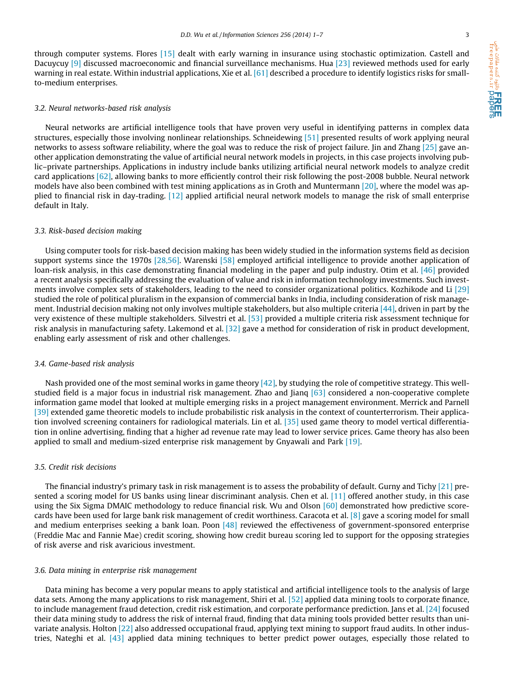through computer systems. Flores [\[15\]](#page-5-0) dealt with early warning in insurance using stochastic optimization. Castell and Dacuycuy [\[9\]](#page-4-0) discussed macroeconomic and financial surveillance mechanisms. Hua [\[23\]](#page-5-0) reviewed methods used for early warning in real estate. Within industrial applications, Xie et al. [\[61\]](#page-6-0) described a procedure to identify logistics risks for smallto-medium enterprises.

#### 3.2. Neural networks-based risk analysis

Neural networks are artificial intelligence tools that have proven very useful in identifying patterns in complex data structures, especially those involving nonlinear relationships. Schneidewing [\[51\]](#page-5-0) presented results of work applying neural networks to assess software reliability, where the goal was to reduce the risk of project failure. Jin and Zhang  $[25]$  gave another application demonstrating the value of artificial neural network models in projects, in this case projects involving public–private partnerships. Applications in industry include banks utilizing artificial neural network models to analyze credit card applications [\[62\]](#page-6-0), allowing banks to more efficiently control their risk following the post-2008 bubble. Neural network models have also been combined with test mining applications as in Groth and Muntermann [\[20\]](#page-5-0), where the model was applied to financial risk in day-trading. [\[12\]](#page-4-0) applied artificial neural network models to manage the risk of small enterprise default in Italy.

#### 3.3. Risk-based decision making

Using computer tools for risk-based decision making has been widely studied in the information systems field as decision support systems since the 1970s [\[28,56\]](#page-5-0). Warenski [\[58\]](#page-5-0) employed artificial intelligence to provide another application of loan-risk analysis, in this case demonstrating financial modeling in the paper and pulp industry. Otim et al. [\[46\]](#page-5-0) provided a recent analysis specifically addressing the evaluation of value and risk in information technology investments. Such investments involve complex sets of stakeholders, leading to the need to consider organizational politics. Kozhikode and Li [\[29\]](#page-5-0) studied the role of political pluralism in the expansion of commercial banks in India, including consideration of risk management. Industrial decision making not only involves multiple stakeholders, but also multiple criteria [\[44\]](#page-5-0), driven in part by the very existence of these multiple stakeholders. Silvestri et al. [\[53\]](#page-5-0) provided a multiple criteria risk assessment technique for risk analysis in manufacturing safety. Lakemond et al. [\[32\]](#page-5-0) gave a method for consideration of risk in product development, enabling early assessment of risk and other challenges.

#### 3.4. Game-based risk analysis

Nash provided one of the most seminal works in game theory [\[42\]](#page-5-0), by studying the role of competitive strategy. This wellstudied field is a major focus in industrial risk management. Zhao and Jianq [\[63\]](#page-6-0) considered a non-cooperative complete information game model that looked at multiple emerging risks in a project management environment. Merrick and Parnell [\[39\]](#page-5-0) extended game theoretic models to include probabilistic risk analysis in the context of counterterrorism. Their application involved screening containers for radiological materials. Lin et al. [\[35\]](#page-5-0) used game theory to model vertical differentiation in online advertising, finding that a higher ad revenue rate may lead to lower service prices. Game theory has also been applied to small and medium-sized enterprise risk management by Gnyawali and Park [\[19\]](#page-5-0).

# 3.5. Credit risk decisions

The financial industry's primary task in risk management is to assess the probability of default. Gurny and Tichy [\[21\]](#page-5-0) presented a scoring model for US banks using linear discriminant analysis. Chen et al. [\[11\]](#page-4-0) offered another study, in this case using the Six Sigma DMAIC methodology to reduce financial risk. Wu and Olson [\[60\]](#page-5-0) demonstrated how predictive scorecards have been used for large bank risk management of credit worthiness. Caracota et al. [\[8\]](#page-4-0) gave a scoring model for small and medium enterprises seeking a bank loan. Poon [\[48\]](#page-5-0) reviewed the effectiveness of government-sponsored enterprise (Freddie Mac and Fannie Mae) credit scoring, showing how credit bureau scoring led to support for the opposing strategies of risk averse and risk avaricious investment.

# 3.6. Data mining in enterprise risk management

Data mining has become a very popular means to apply statistical and artificial intelligence tools to the analysis of large data sets. Among the many applications to risk management, Shiri et al. [\[52\]](#page-5-0) applied data mining tools to corporate finance, to include management fraud detection, credit risk estimation, and corporate performance prediction. Jans et al. [\[24\]](#page-5-0) focused their data mining study to address the risk of internal fraud, finding that data mining tools provided better results than univariate analysis. Holton [\[22\]](#page-5-0) also addressed occupational fraud, applying text mining to support fraud audits. In other industries, Nateghi et al. [\[43\]](#page-5-0) applied data mining techniques to better predict power outages, especially those related to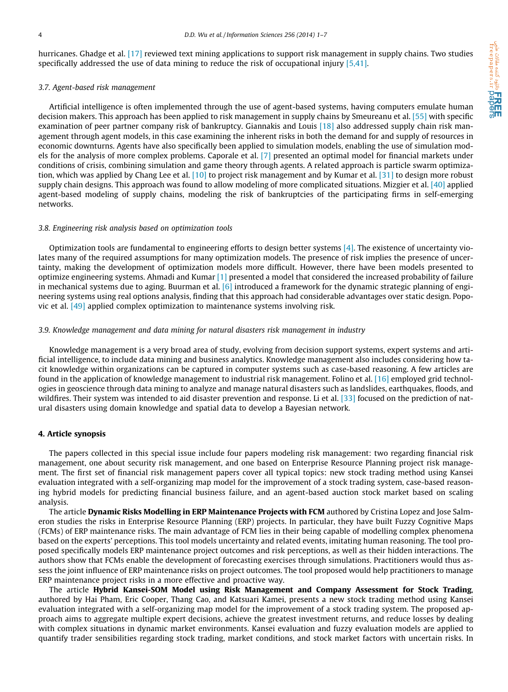hurricanes. Ghadge et al. [\[17\]](#page-5-0) reviewed text mining applications to support risk management in supply chains. Two studies specifically addressed the use of data mining to reduce the risk of occupational injury [\[5,41\]](#page-4-0).

# 3.7. Agent-based risk management

Artificial intelligence is often implemented through the use of agent-based systems, having computers emulate human decision makers. This approach has been applied to risk management in supply chains by Smeureanu et al. [\[55\]](#page-5-0) with specific examination of peer partner company risk of bankruptcy. Giannakis and Louis [\[18\]](#page-5-0) also addressed supply chain risk management through agent models, in this case examining the inherent risks in both the demand for and supply of resources in economic downturns. Agents have also specifically been applied to simulation models, enabling the use of simulation models for the analysis of more complex problems. Caporale et al. [\[7\]](#page-4-0) presented an optimal model for financial markets under conditions of crisis, combining simulation and game theory through agents. A related approach is particle swarm optimization, which was applied by Chang Lee et al. [\[10\]](#page-4-0) to project risk management and by Kumar et al. [\[31\]](#page-5-0) to design more robust supply chain designs. This approach was found to allow modeling of more complicated situations. Mizgier et al. [\[40\]](#page-5-0) applied agent-based modeling of supply chains, modeling the risk of bankruptcies of the participating firms in self-emerging networks.

#### 3.8. Engineering risk analysis based on optimization tools

Optimization tools are fundamental to engineering efforts to design better systems  $[4]$ . The existence of uncertainty violates many of the required assumptions for many optimization models. The presence of risk implies the presence of uncertainty, making the development of optimization models more difficult. However, there have been models presented to optimize engineering systems. Ahmadi and Kumar [\[1\]](#page-4-0) presented a model that considered the increased probability of failure in mechanical systems due to aging. Buurman et al.  $[6]$  introduced a framework for the dynamic strategic planning of engineering systems using real options analysis, finding that this approach had considerable advantages over static design. Popovic et al. [\[49\]](#page-5-0) applied complex optimization to maintenance systems involving risk.

#### 3.9. Knowledge management and data mining for natural disasters risk management in industry

Knowledge management is a very broad area of study, evolving from decision support systems, expert systems and artificial intelligence, to include data mining and business analytics. Knowledge management also includes considering how tacit knowledge within organizations can be captured in computer systems such as case-based reasoning. A few articles are found in the application of knowledge management to industrial risk management. Folino et al. [\[16\]](#page-5-0) employed grid technologies in geoscience through data mining to analyze and manage natural disasters such as landslides, earthquakes, floods, and wildfires. Their system was intended to aid disaster prevention and response. Li et al. [\[33\]](#page-5-0) focused on the prediction of natural disasters using domain knowledge and spatial data to develop a Bayesian network.

#### 4. Article synopsis

The papers collected in this special issue include four papers modeling risk management: two regarding financial risk management, one about security risk management, and one based on Enterprise Resource Planning project risk management. The first set of financial risk management papers cover all typical topics: new stock trading method using Kansei evaluation integrated with a self-organizing map model for the improvement of a stock trading system, case-based reasoning hybrid models for predicting financial business failure, and an agent-based auction stock market based on scaling analysis.

The article Dynamic Risks Modelling in ERP Maintenance Projects with FCM authored by Cristina Lopez and Jose Salmeron studies the risks in Enterprise Resource Planning (ERP) projects. In particular, they have built Fuzzy Cognitive Maps (FCMs) of ERP maintenance risks. The main advantage of FCM lies in their being capable of modelling complex phenomena based on the experts' perceptions. This tool models uncertainty and related events, imitating human reasoning. The tool proposed specifically models ERP maintenance project outcomes and risk perceptions, as well as their hidden interactions. The authors show that FCMs enable the development of forecasting exercises through simulations. Practitioners would thus assess the joint influence of ERP maintenance risks on project outcomes. The tool proposed would help practitioners to manage ERP maintenance project risks in a more effective and proactive way.

The article Hybrid Kansei-SOM Model using Risk Management and Company Assessment for Stock Trading, authored by Hai Pham, Eric Cooper, Thang Cao, and Katsuari Kamei, presents a new stock trading method using Kansei evaluation integrated with a self-organizing map model for the improvement of a stock trading system. The proposed approach aims to aggregate multiple expert decisions, achieve the greatest investment returns, and reduce losses by dealing with complex situations in dynamic market environments. Kansei evaluation and fuzzy evaluation models are applied to quantify trader sensibilities regarding stock trading, market conditions, and stock market factors with uncertain risks. In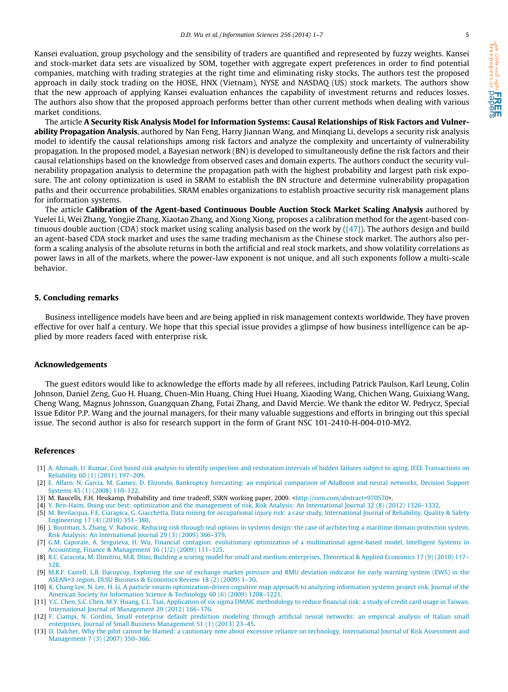<span id="page-4-0"></span>Kansei evaluation, group psychology and the sensibility of traders are quantified and represented by fuzzy weights. Kansei and stock-market data sets are visualized by SOM, together with aggregate expert preferences in order to find potential companies, matching with trading strategies at the right time and eliminating risky stocks. The authors test the proposed approach in daily stock trading on the HOSE, HNX (Vietnam), NYSE and NASDAQ (US) stock markets. The authors show that the new approach of applying Kansei evaluation enhances the capability of investment returns and reduces losses. The authors also show that the proposed approach performs better than other current methods when dealing with various market conditions.

The article A Security Risk Analysis Model for Information Systems: Causal Relationships of Risk Factors and Vulnerability Propagation Analysis, authored by Nan Feng, Harry Jiannan Wang, and Mingiang Li, develops a security risk analysis model to identify the causal relationships among risk factors and analyze the complexity and uncertainty of vulnerability propagation. In the proposed model, a Bayesian network (BN) is developed to simultaneously define the risk factors and their causal relationships based on the knowledge from observed cases and domain experts. The authors conduct the security vulnerability propagation analysis to determine the propagation path with the highest probability and largest path risk exposure. The ant colony optimization is used in SRAM to establish the BN structure and determine vulnerability propagation paths and their occurrence probabilities. SRAM enables organizations to establish proactive security risk management plans for information systems.

The article Calibration of the Agent-based Continuous Double Auction Stock Market Scaling Analysis authored by Yuelei Li, Wei Zhang, Yongjie Zhang, Xiaotao Zhang, and Xiong Xiong, proposes a calibration method for the agent-based continuous double auction (CDA) stock market using scaling analysis based on the work by  $([47])$ . The authors design and build an agent-based CDA stock market and uses the same trading mechanism as the Chinese stock market. The authors also perform a scaling analysis of the absolute returns in both the artificial and real stock markets, and show volatility correlations as power laws in all of the markets, where the power-law exponent is not unique, and all such exponents follow a multi-scale behavior.

#### 5. Concluding remarks

Business intelligence models have been and are being applied in risk management contexts worldwide. They have proven effective for over half a century. We hope that this special issue provides a glimpse of how business intelligence can be applied by more readers faced with enterprise risk.

# Acknowledgements

The guest editors would like to acknowledge the efforts made by all referees, including Patrick Paulson, Karl Leung, Colin Johnson, Daniel Zeng, Guo H. Huang, Chuen-Min Huang, Ching Huei Huang, Xiaoding Wang, Chichen Wang, Guixiang Wang, Cheng Wang, Magnus Johnsson, Guangquan Zhang, Futai Zhang, and David Mercie. We thank the editor W. Pedrycz, Special Issue Editor P.P. Wang and the journal managers, for their many valuable suggestions and efforts in bringing out this special issue. The second author is also for research support in the form of Grant NSC 101-2410-H-004-010-MY2.

# References

- [1] [A. Ahmadi, U. Kumar, Cost based risk analysis to identify inspection and restoration intervals of hidden failures subject to aging, IEEE Transactions on](http://refhub.elsevier.com/S0020-0255(13)00723-8/h0005) [Reliability 60 \(1\) \(2011\) 197–209.](http://refhub.elsevier.com/S0020-0255(13)00723-8/h0005)
- [2] [E. Alfaro, N. Garcia, M. Gamez, D. Elizondo, Bankruptcy forecasting: an empirical comparison of AdaBoost and neural networks, Decision Support](http://refhub.elsevier.com/S0020-0255(13)00723-8/h0010) [Systems 45 \(1\) \(2008\) 110–122](http://refhub.elsevier.com/S0020-0255(13)00723-8/h0010).
- [3] M. Baucells, F.H. Heukamp, Probability and time tradeoff, SSRN working paper, 2009. <<http://ssrn.com/abstract=970570>>.
- [4] [Y. Ben-Haim, Doing our best: optimization and the management of risk, Risk Analysis: An International Journal 32 \(8\) \(2012\) 1326–1332.](http://refhub.elsevier.com/S0020-0255(13)00723-8/h0015)
- [5] [M. Bevilacqua, F.E. Ciarapica, G. Giacchetta, Data mining for occupational injury risk: a case study, International Journal of Reliability, Quality & Safety](http://refhub.elsevier.com/S0020-0255(13)00723-8/h0020) [Engineering 17 \(4\) \(2010\) 351–380](http://refhub.elsevier.com/S0020-0255(13)00723-8/h0020).
- [6] [J. Buurman, S. Zhang, V. Babovic, Reducing risk through real options in systems design: the case of architecting a maritime domain protection system,](http://refhub.elsevier.com/S0020-0255(13)00723-8/h0025) [Risk Analysis: An International Journal 29 \(3\) \(2009\) 366–379](http://refhub.elsevier.com/S0020-0255(13)00723-8/h0025).
- [7] [G.M. Caporale, A. Serguieva, H. Wu, Financial contagion: evolutionary optimization of a multinational agent-based model, Intelligent Systems in](http://refhub.elsevier.com/S0020-0255(13)00723-8/h0030) [Accounting, Finance & Management 16 \(1/2\) \(2009\) 111–125.](http://refhub.elsevier.com/S0020-0255(13)00723-8/h0030)
- [8] [R.C. Caracota, M. Dimitriu, M.R. Dinu, Building a scoring model for small and medium enterprises, Theoretical & Applied Economics 17 \(9\) \(2010\) 117–](http://refhub.elsevier.com/S0020-0255(13)00723-8/h0035) [128](http://refhub.elsevier.com/S0020-0255(13)00723-8/h0035).
- [9] [M.R.F. Castell, L.B. Dacuycuy, Exploring the use of exchange market pressure and RMU deviation indicator for early warning system \(EWS\) in the](http://refhub.elsevier.com/S0020-0255(13)00723-8/h0040) [ASEAN+3 region, DLSU Business & Economics Review 18 \(2\) \(2009\) 1–30](http://refhub.elsevier.com/S0020-0255(13)00723-8/h0040).
- [10] [K. Chang Lee, N. Lee, H. Li, A particle swarm optimization-driven cognitive map approach to analyzing information systems project risk, Journal of the](http://refhub.elsevier.com/S0020-0255(13)00723-8/h0045) [American Society for Information Science & Technology 60 \(6\) \(2009\) 1208–1221.](http://refhub.elsevier.com/S0020-0255(13)00723-8/h0045)
- [11] [Y.C. Chen, S.C. Chen, M.Y. Huang, C.L. Tsai, Application of six sigma DMAIC methodology to reduce financial risk: a study of credit card usage in Taiwan,](http://refhub.elsevier.com/S0020-0255(13)00723-8/h0050) [International Journal of Management 29 \(2012\) 166–176](http://refhub.elsevier.com/S0020-0255(13)00723-8/h0050).
- [12] [F. Ciampi, N. Gordini, Small enterprise default prediction modeling through artificial neural networks: an empirical analysis of Italian small](http://refhub.elsevier.com/S0020-0255(13)00723-8/h0055) [enterprises, Journal of Small Business Management 51 \(1\) \(2013\) 23–45](http://refhub.elsevier.com/S0020-0255(13)00723-8/h0055).
- [13] [D. Dalcher, Why the pilot cannot be blamed: a cautionary note about excessive reliance on technology, International Journal of Risk Assessment and](http://refhub.elsevier.com/S0020-0255(13)00723-8/h0060) [Management 7 \(3\) \(2007\) 350–366.](http://refhub.elsevier.com/S0020-0255(13)00723-8/h0060)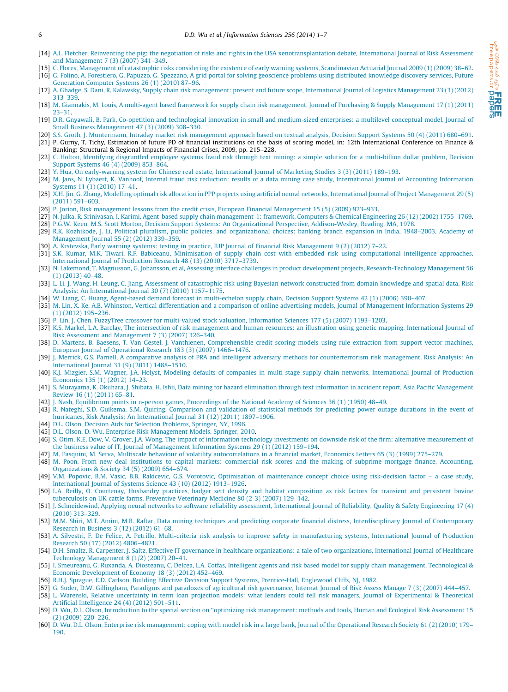- <span id="page-5-0"></span>[14] [A.L. Fletcher, Reinventing the pig: the negotiation of risks and rights in the USA xenotransplantation debate, International Journal of Risk Assessment](http://refhub.elsevier.com/S0020-0255(13)00723-8/h0065) [and Management 7 \(3\) \(2007\) 341–349.](http://refhub.elsevier.com/S0020-0255(13)00723-8/h0065)
- [15] [C. Flores, Management of catastrophic risks considering the existence of early warning systems, Scandinavian Actuarial Journal 2009 \(1\) \(2009\) 38–62.](http://refhub.elsevier.com/S0020-0255(13)00723-8/h0070) [16] [G. Folino, A. Forestiero, G. Papuzzo, G. Spezzano, A grid portal for solving geoscience problems using distributed knowledge discovery services, Future](http://refhub.elsevier.com/S0020-0255(13)00723-8/h0075)
- [Generation Computer Systems 26 \(1\) \(2010\) 87–96](http://refhub.elsevier.com/S0020-0255(13)00723-8/h0075). [17] [A. Ghadge, S. Dani, R. Kalawsky, Supply chain risk management: present and future scope, International Journal of Logistics Management 23 \(3\) \(2012\)](http://refhub.elsevier.com/S0020-0255(13)00723-8/h0080) [313–339](http://refhub.elsevier.com/S0020-0255(13)00723-8/h0080).
- [18] [M. Giannakis, M. Louis, A multi-agent based framework for supply chain risk management, Journal of Purchasing & Supply Management 17 \(1\) \(2011\)](http://refhub.elsevier.com/S0020-0255(13)00723-8/h0085) [23–31.](http://refhub.elsevier.com/S0020-0255(13)00723-8/h0085)
- [19] [D.R. Gnyawali, B. Park, Co-opetition and technological innovation in small and medium-sized enterprises: a multilevel conceptual model, Journal of](http://refhub.elsevier.com/S0020-0255(13)00723-8/h0090) [Small Business Management 47 \(3\) \(2009\) 308–330.](http://refhub.elsevier.com/S0020-0255(13)00723-8/h0090)
- [20] [S.S. Groth, J. Muntermann, Intraday market risk management approach based on textual analysis, Decision Support Systems 50 \(4\) \(2011\) 680–691.](http://refhub.elsevier.com/S0020-0255(13)00723-8/h0095)
- [21] P. Gurny, T. Tichy, Estimation of future PD of financial institutions on the basis of scoring model, in: 12th International Conference on Finance & Banking: Structural & Regional Impacts of Financial Crises, 2009, pp. 215–228.
- [22] [C. Holton, Identifying disgruntled employee systems fraud risk through text mining: a simple solution for a multi-billion dollar problem, Decision](http://refhub.elsevier.com/S0020-0255(13)00723-8/h0100) [Support Systems 46 \(4\) \(2009\) 853–864](http://refhub.elsevier.com/S0020-0255(13)00723-8/h0100).
- [23] [Y. Hua, On early-warning system for Chinese real estate, International Journal of Marketing Studies 3 \(3\) \(2011\) 189–193.](http://refhub.elsevier.com/S0020-0255(13)00723-8/h0105)
- [24] [M. Jans, N. Lybaert, K. Vanhoof, Internal fraud risk reduction: results of a data mining case study, International Journal of Accounting Information](http://refhub.elsevier.com/S0020-0255(13)00723-8/h0110) [Systems 11 \(1\) \(2010\) 17–41](http://refhub.elsevier.com/S0020-0255(13)00723-8/h0110).
	- [25] [X.H. Jin, G. Zhang, Modelling optimal risk allocation in PPP projects using artificial neural networks, International Journal of Project Management](http://refhub.elsevier.com/S0020-0255(13)00723-8/h0115) 29 (5) [\(2011\) 591–603.](http://refhub.elsevier.com/S0020-0255(13)00723-8/h0115)
	- [26] [P. Jorion, Risk management lessons from the credit crisis, European Financial Management 15 \(5\) \(2009\) 923–933.](http://refhub.elsevier.com/S0020-0255(13)00723-8/h0120)
	- [27] [N. Julka, R. Srinivasan, I. Karimi, Agent-based supply chain management-1: framework, Computers & Chemical Engineering 26 \(12\) \(2002\) 1755–1769.](http://refhub.elsevier.com/S0020-0255(13)00723-8/h0125) [28] [P.G.W. Keen, M.S. Scott Morton, Decision Support Systems: An Organizational Perspective, Addison-Wesley, Reading, MA, 1978.](http://refhub.elsevier.com/S0020-0255(13)00723-8/h0130)
	- [29] [R.K. Kozhikode, J. Li, Political pluralism, public policies, and organizational choices: banking branch expansion in India, 1948–2003, Academy of](http://refhub.elsevier.com/S0020-0255(13)00723-8/h0135) [Management Journal 55 \(2\) \(2012\) 339–359.](http://refhub.elsevier.com/S0020-0255(13)00723-8/h0135)
	- [30] [A. Krstevska, Early warning systems: testing in practice, IUP Journal of Financial Risk Management 9 \(2\) \(2012\) 7–22.](http://refhub.elsevier.com/S0020-0255(13)00723-8/h0140)
- [31] [S.K. Kumar, M.K. Tiwari, R.F. Babiceanu, Minimisation of supply chain cost with embedded risk using computational intelligence approaches,](http://refhub.elsevier.com/S0020-0255(13)00723-8/h0145) [International Journal of Production Research 48 \(13\) \(2010\) 3717–3739](http://refhub.elsevier.com/S0020-0255(13)00723-8/h0145).
- [32] [N. Lakemond, T. Magnusson, G. Johansson, et al, Assessing interface challenges in product development projects, Research-Technology Management 56](http://refhub.elsevier.com/S0020-0255(13)00723-8/h0150)  $(1)$   $(2013)$   $40-48$ .
- [33] [L. Li, J. Wang, H. Leung, C. Jiang, Assessment of catastrophic risk using Bayesian network constructed from domain knowledge and spatial data, Risk](http://refhub.elsevier.com/S0020-0255(13)00723-8/h0155) [Analysis: An International Journal 30 \(7\) \(2010\) 1157–1175.](http://refhub.elsevier.com/S0020-0255(13)00723-8/h0155)
- [34] [W. Liang, C. Huang, Agent-based demand forecast in multi-echelon supply chain, Decision Support Systems 42 \(1\) \(2006\) 390–407](http://refhub.elsevier.com/S0020-0255(13)00723-8/h0160).
- [35] [M. Lin, X. Ke, A.B. Whinston, Vertical differentiation and a comparison of online advertising models, Journal of Management Information Systems 29](http://refhub.elsevier.com/S0020-0255(13)00723-8/h0165) [\(1\) \(2012\) 195–236](http://refhub.elsevier.com/S0020-0255(13)00723-8/h0165).
- [36] [P. Lin, J. Chen, FuzzyTree crossover for multi-valued stock valuation, Information Sciences 177 \(5\) \(2007\) 1193–1203](http://refhub.elsevier.com/S0020-0255(13)00723-8/h0170).
- [37] [K.S. Markel, L.A. Barclay, The intersection of risk management and human resources: an illustration using genetic mapping, International Journal of](http://refhub.elsevier.com/S0020-0255(13)00723-8/h0175) [Risk Assessment and Management 7 \(3\) \(2007\) 326–340.](http://refhub.elsevier.com/S0020-0255(13)00723-8/h0175)
- [38] [D. Martens, B. Baesens, T. Van Gestel, J. Vanthienen, Comprehensible credit scoring models using rule extraction from support vector machines,](http://refhub.elsevier.com/S0020-0255(13)00723-8/h0180) [European Journal of Operational Research 183 \(3\) \(2007\) 1466–1476.](http://refhub.elsevier.com/S0020-0255(13)00723-8/h0180)
- [39] [J. Merrick, G.S. Parnell, A comparative analysis of PRA and intelligent adversary methods for counterterrorism risk management, Risk Analysis: An](http://refhub.elsevier.com/S0020-0255(13)00723-8/h0185) [International Journal 31 \(9\) \(2011\) 1488–1510.](http://refhub.elsevier.com/S0020-0255(13)00723-8/h0185)
- [40] [K.J. Mizgier, S.M. Wagner, J.A. Holyst, Modeling defaults of companies in multi-stage supply chain networks, International Journal of Production](http://refhub.elsevier.com/S0020-0255(13)00723-8/h0190) [Economics 135 \(1\) \(2012\) 14–23.](http://refhub.elsevier.com/S0020-0255(13)00723-8/h0190)
- [41] [S. Murayama, K. Okuhara, J. Shibata, H. Ishii, Data mining for hazard elimination through text information in accident report, Asia Pacific Management](http://refhub.elsevier.com/S0020-0255(13)00723-8/h0195) [Review 16 \(1\) \(2011\) 65–81.](http://refhub.elsevier.com/S0020-0255(13)00723-8/h0195)
- [42] J. Nash, Equilibrium points in n-person games, Proceedings of the National Academy of Sciences 36 (1) (1950) 48-49.
- [43] [R. Nateghi, S.D. Guikema, S.M. Quiring, Comparison and validation of statistical methods for predicting power outage durations in the event of](http://refhub.elsevier.com/S0020-0255(13)00723-8/h0205) [hurricanes, Risk Analysis: An International Journal 31 \(12\) \(2011\) 1897–1906](http://refhub.elsevier.com/S0020-0255(13)00723-8/h0205).
- [44] [D.L. Olson, Decision Aids for Selection Problems, Springer, NY, 1996.](http://refhub.elsevier.com/S0020-0255(13)00723-8/h0210)
- [45] [D.L. Olson, D. Wu, Enterprise Risk Management Models, Springer, 2010](http://refhub.elsevier.com/S0020-0255(13)00723-8/h0215).
- [46] [S. Otim, K.E. Dow, V. Grover, J.A. Wong, The impact of information technology investments on downside risk of the firm: alternative measurement of](http://refhub.elsevier.com/S0020-0255(13)00723-8/h0220) [the business value of IT, Journal of Management Information Systems 29 \(1\) \(2012\) 159–194.](http://refhub.elsevier.com/S0020-0255(13)00723-8/h0220)
- [47] [M. Pasquini, M. Serva, Multiscale behaviour of volatility autocorrelations in a financial market, Economics Letters 65 \(3\) \(1999\) 275–279.](http://refhub.elsevier.com/S0020-0255(13)00723-8/h0225)
- [48] [M. Poon, From new deal institutions to capital markets: commercial risk scores and the making of subprime mortgage finance, Accounting,](http://refhub.elsevier.com/S0020-0255(13)00723-8/h0230) [Organizations & Society 34 \(5\) \(2009\) 654–674.](http://refhub.elsevier.com/S0020-0255(13)00723-8/h0230)
- [49] [V.M. Popovic, B.M. Vasic, B.B. Rakicevic, G.S. Vorotovic, Optimisation of maintenance concept choice using risk-decision factor a case study,](http://refhub.elsevier.com/S0020-0255(13)00723-8/h0235) [International Journal of Systems Science 43 \(10\) \(2012\) 1913–1926](http://refhub.elsevier.com/S0020-0255(13)00723-8/h0235).
- [50] [L.A. Reilly, O. Courtenay, Husbandry practices, badger sett density and habitat composition as risk factors for transient and persistent bovine](http://refhub.elsevier.com/S0020-0255(13)00723-8/h0240) [tuberculosis on UK cattle farms, Preventive Veterinary Medicine 80 \(2-3\) \(2007\) 129–142](http://refhub.elsevier.com/S0020-0255(13)00723-8/h0240).
- [51] [J. Schneidewind, Applying neural networks to software reliability assessment, International Journal of Reliability, Quality & Safety Engineering 17 \(4\)](http://refhub.elsevier.com/S0020-0255(13)00723-8/h0245) [\(2010\) 313–329.](http://refhub.elsevier.com/S0020-0255(13)00723-8/h0245)
- [52] [M.M. Shiri, M.T. Amini, M.B. Raftar, Data mining techniques and predicting corporate financial distress, Interdisciplinary Journal of Contemporary](http://refhub.elsevier.com/S0020-0255(13)00723-8/h0250) [Research in Business 3 \(12\) \(2012\) 61–68.](http://refhub.elsevier.com/S0020-0255(13)00723-8/h0250)
- [53] [A. Silvestri, F. De Felice, A. Petrillo, Multi-criteria risk analysis to improve safety in manufacturing systems, International Journal of Production](http://refhub.elsevier.com/S0020-0255(13)00723-8/h0255) [Research 50 \(17\) \(2012\) 4806–4821.](http://refhub.elsevier.com/S0020-0255(13)00723-8/h0255)
- [54] [D.H. Smaltz, R. Carpenter, J. Saltz, Effective IT governance in healthcare organizations: a tale of two organizations, International Journal of Healthcare](http://refhub.elsevier.com/S0020-0255(13)00723-8/h0260) [Technology Management 8 \(1/2\) \(2007\) 20–41](http://refhub.elsevier.com/S0020-0255(13)00723-8/h0260).
- [55] [I. Smeureanu, G. Ruxanda, A. Diosteanu, C. Delcea, L.A. Cotfas, Intelligent agents and risk based model for supply chain management, Technological &](http://refhub.elsevier.com/S0020-0255(13)00723-8/h0265) [Economic Development of Economy 18 \(3\) \(2012\) 452–469](http://refhub.elsevier.com/S0020-0255(13)00723-8/h0265).
- [56] [R.H.J. Sprague, E.D. Carlson, Building Effective Decision Support Systems, Prentice-Hall, Englewood Cliffs, NJ, 1982](http://refhub.elsevier.com/S0020-0255(13)00723-8/h0270).
- [57] [G. Suder, D.W. Gillingham, Paradigms and paradoxes of agricultural risk governance, Internat Journal of Risk Assess Manage 7 \(3\) \(2007\) 444–457.](http://refhub.elsevier.com/S0020-0255(13)00723-8/h0275)
- [58] [L. Warenski, Relative uncertainty in term loan projection models: what lenders could tell risk managers, Journal of Experimental & Theoretical](http://refhub.elsevier.com/S0020-0255(13)00723-8/h0280) [Artificial Intelligence 24 \(4\) \(2012\) 501–511.](http://refhub.elsevier.com/S0020-0255(13)00723-8/h0280)
- [59] [D. Wu, D.L. Olson, Introduction to the special section on ''optimizing risk management: methods and tools, Human and Ecological Risk Assessment 15](http://refhub.elsevier.com/S0020-0255(13)00723-8/h0285) [\(2\) \(2009\) 220–226](http://refhub.elsevier.com/S0020-0255(13)00723-8/h0285).
- [60] [D. Wu, D.L. Olson, Enterprise risk management: coping with model risk in a large bank, Journal of the Operational Research Society 61 \(2\) \(2010\) 179–](http://refhub.elsevier.com/S0020-0255(13)00723-8/h0290) [190](http://refhub.elsevier.com/S0020-0255(13)00723-8/h0290).